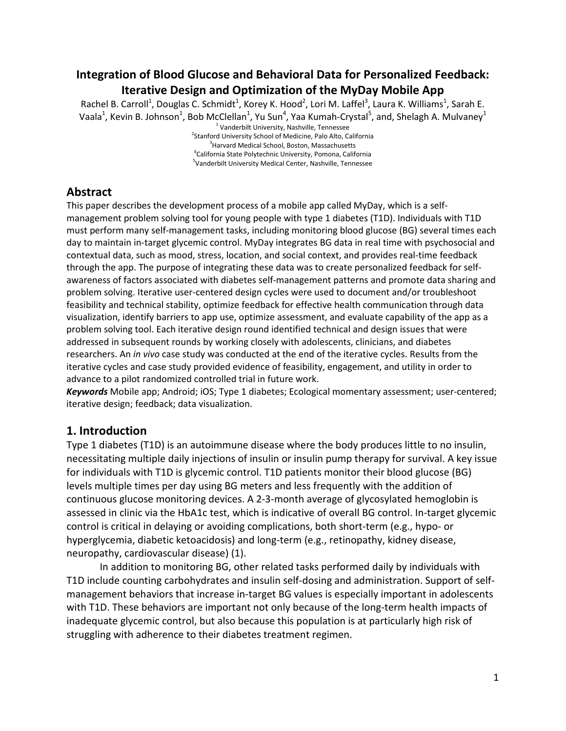## **Integration of Blood Glucose and Behavioral Data for Personalized Feedback: Iterative Design and Optimization of the MyDay Mobile App**

Rachel B. Carroll<sup>1</sup>, Douglas C. Schmidt<sup>1</sup>, Korey K. Hood<sup>2</sup>, Lori M. Laffel<sup>3</sup>, Laura K. Williams<sup>1</sup>, Sarah E. Vaala<sup>1</sup>, Kevin B. Johnson<sup>1</sup>, Bob McClellan<sup>1</sup>, Yu Sun<sup>4</sup>, Yaa Kumah-Crystal<sup>5</sup>, and, Shelagh A. Mulvaney<sup>1</sup>  $<sup>1</sup>$  Vanderbilt University, Nashville, Tennessee</sup>

 $2$ Stanford University School of Medicine, Palo Alto, California <sup>3</sup> Harvard Medical School, Boston, Massachusetts <sup>4</sup> California State Polytechnic University, Pomona, California<br><sup>5</sup> Vanderbitt University Medical Center, Nashville, Tennessee <sup>5</sup>Vanderbilt University Medical Center, Nashville, Tennessee

## **Abstract**

This paper describes the development process of a mobile app called MyDay, which is a selfmanagement problem solving tool for young people with type 1 diabetes (T1D). Individuals with T1D must perform many self-management tasks, including monitoring blood glucose (BG) several times each day to maintain in-target glycemic control. MyDay integrates BG data in real time with psychosocial and contextual data, such as mood, stress, location, and social context, and provides real-time feedback through the app. The purpose of integrating these data was to create personalized feedback for selfawareness of factors associated with diabetes self-management patterns and promote data sharing and problem solving. Iterative user-centered design cycles were used to document and/or troubleshoot feasibility and technical stability, optimize feedback for effective health communication through data visualization, identify barriers to app use, optimize assessment, and evaluate capability of the app as a problem solving tool. Each iterative design round identified technical and design issues that were addressed in subsequent rounds by working closely with adolescents, clinicians, and diabetes researchers. An *in vivo* case study was conducted at the end of the iterative cycles. Results from the iterative cycles and case study provided evidence of feasibility, engagement, and utility in order to advance to a pilot randomized controlled trial in future work.

*Keywords* Mobile app; Android; iOS; Type 1 diabetes; Ecological momentary assessment; user-centered; iterative design; feedback; data visualization.

## **1. Introduction**

Type 1 diabetes (T1D) is an autoimmune disease where the body produces little to no insulin, necessitating multiple daily injections of insulin or insulin pump therapy for survival. A key issue for individuals with T1D is glycemic control. T1D patients monitor their blood glucose (BG) levels multiple times per day using BG meters and less frequently with the addition of continuous glucose monitoring devices. A 2-3-month average of glycosylated hemoglobin is assessed in clinic via the HbA1c test, which is indicative of overall BG control. In-target glycemic control is critical in delaying or avoiding complications, both short-term (e.g., hypo- or hyperglycemia, diabetic ketoacidosis) and long-term (e.g., retinopathy, kidney disease, neuropathy, cardiovascular disease) (1).

In addition to monitoring BG, other related tasks performed daily by individuals with T1D include counting carbohydrates and insulin self-dosing and administration. Support of selfmanagement behaviors that increase in-target BG values is especially important in adolescents with T1D. These behaviors are important not only because of the long-term health impacts of inadequate glycemic control, but also because this population is at particularly high risk of struggling with adherence to their diabetes treatment regimen.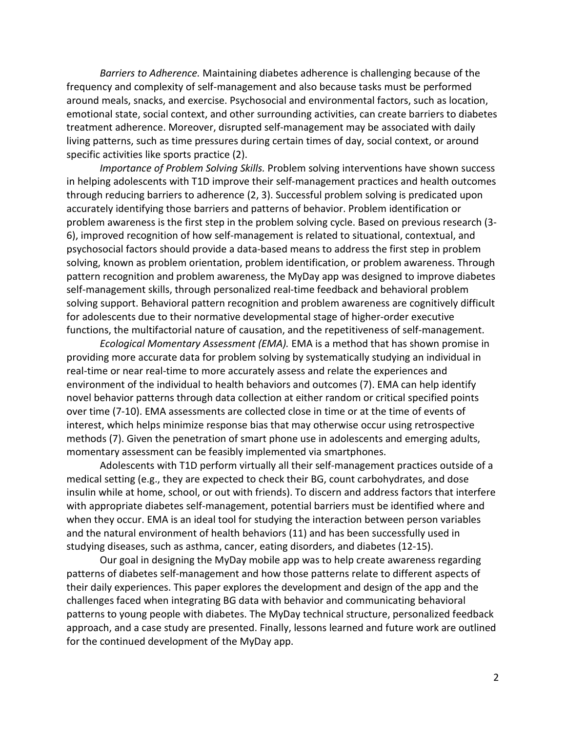*Barriers to Adherence.* Maintaining diabetes adherence is challenging because of the frequency and complexity of self-management and also because tasks must be performed around meals, snacks, and exercise. Psychosocial and environmental factors, such as location, emotional state, social context, and other surrounding activities, can create barriers to diabetes treatment adherence. Moreover, disrupted self-management may be associated with daily living patterns, such as time pressures during certain times of day, social context, or around specific activities like sports practice (2).

*Importance of Problem Solving Skills.* Problem solving interventions have shown success in helping adolescents with T1D improve their self-management practices and health outcomes through reducing barriers to adherence (2, 3). Successful problem solving is predicated upon accurately identifying those barriers and patterns of behavior. Problem identification or problem awareness is the first step in the problem solving cycle. Based on previous research (3- 6), improved recognition of how self-management is related to situational, contextual, and psychosocial factors should provide a data-based means to address the first step in problem solving, known as problem orientation, problem identification, or problem awareness. Through pattern recognition and problem awareness, the MyDay app was designed to improve diabetes self-management skills, through personalized real-time feedback and behavioral problem solving support. Behavioral pattern recognition and problem awareness are cognitively difficult for adolescents due to their normative developmental stage of higher-order executive functions, the multifactorial nature of causation, and the repetitiveness of self-management.

*Ecological Momentary Assessment (EMA).* EMA is a method that has shown promise in providing more accurate data for problem solving by systematically studying an individual in real-time or near real-time to more accurately assess and relate the experiences and environment of the individual to health behaviors and outcomes (7). EMA can help identify novel behavior patterns through data collection at either random or critical specified points over time (7-10). EMA assessments are collected close in time or at the time of events of interest, which helps minimize response bias that may otherwise occur using retrospective methods (7). Given the penetration of smart phone use in adolescents and emerging adults, momentary assessment can be feasibly implemented via smartphones.

Adolescents with T1D perform virtually all their self-management practices outside of a medical setting (e.g., they are expected to check their BG, count carbohydrates, and dose insulin while at home, school, or out with friends). To discern and address factors that interfere with appropriate diabetes self-management, potential barriers must be identified where and when they occur. EMA is an ideal tool for studying the interaction between person variables and the natural environment of health behaviors (11) and has been successfully used in studying diseases, such as asthma, cancer, eating disorders, and diabetes (12-15).

Our goal in designing the MyDay mobile app was to help create awareness regarding patterns of diabetes self-management and how those patterns relate to different aspects of their daily experiences. This paper explores the development and design of the app and the challenges faced when integrating BG data with behavior and communicating behavioral patterns to young people with diabetes. The MyDay technical structure, personalized feedback approach, and a case study are presented. Finally, lessons learned and future work are outlined for the continued development of the MyDay app.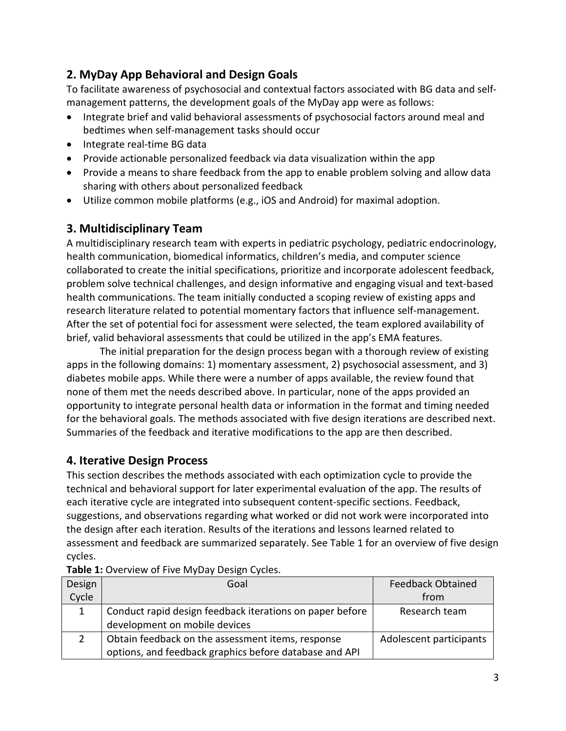# **2. MyDay App Behavioral and Design Goals**

To facilitate awareness of psychosocial and contextual factors associated with BG data and selfmanagement patterns, the development goals of the MyDay app were as follows:

- Integrate brief and valid behavioral assessments of psychosocial factors around meal and bedtimes when self-management tasks should occur
- Integrate real-time BG data
- Provide actionable personalized feedback via data visualization within the app
- Provide a means to share feedback from the app to enable problem solving and allow data sharing with others about personalized feedback
- Utilize common mobile platforms (e.g., iOS and Android) for maximal adoption.

## **3. Multidisciplinary Team**

A multidisciplinary research team with experts in pediatric psychology, pediatric endocrinology, health communication, biomedical informatics, children's media, and computer science collaborated to create the initial specifications, prioritize and incorporate adolescent feedback, problem solve technical challenges, and design informative and engaging visual and text-based health communications. The team initially conducted a scoping review of existing apps and research literature related to potential momentary factors that influence self-management. After the set of potential foci for assessment were selected, the team explored availability of brief, valid behavioral assessments that could be utilized in the app's EMA features.

The initial preparation for the design process began with a thorough review of existing apps in the following domains: 1) momentary assessment, 2) psychosocial assessment, and 3) diabetes mobile apps. While there were a number of apps available, the review found that none of them met the needs described above. In particular, none of the apps provided an opportunity to integrate personal health data or information in the format and timing needed for the behavioral goals. The methods associated with five design iterations are described next. Summaries of the feedback and iterative modifications to the app are then described.

## **4. Iterative Design Process**

This section describes the methods associated with each optimization cycle to provide the technical and behavioral support for later experimental evaluation of the app. The results of each iterative cycle are integrated into subsequent content-specific sections. Feedback, suggestions, and observations regarding what worked or did not work were incorporated into the design after each iteration. Results of the iterations and lessons learned related to assessment and feedback are summarized separately. See Table 1 for an overview of five design cycles.

| Design | Goal                                                     | <b>Feedback Obtained</b> |  |  |  |
|--------|----------------------------------------------------------|--------------------------|--|--|--|
| Cycle  |                                                          | from                     |  |  |  |
|        | Conduct rapid design feedback iterations on paper before | Research team            |  |  |  |
|        | development on mobile devices                            |                          |  |  |  |
|        | Obtain feedback on the assessment items, response        | Adolescent participants  |  |  |  |
|        | options, and feedback graphics before database and API   |                          |  |  |  |

### **Table 1:** Overview of Five MyDay Design Cycles.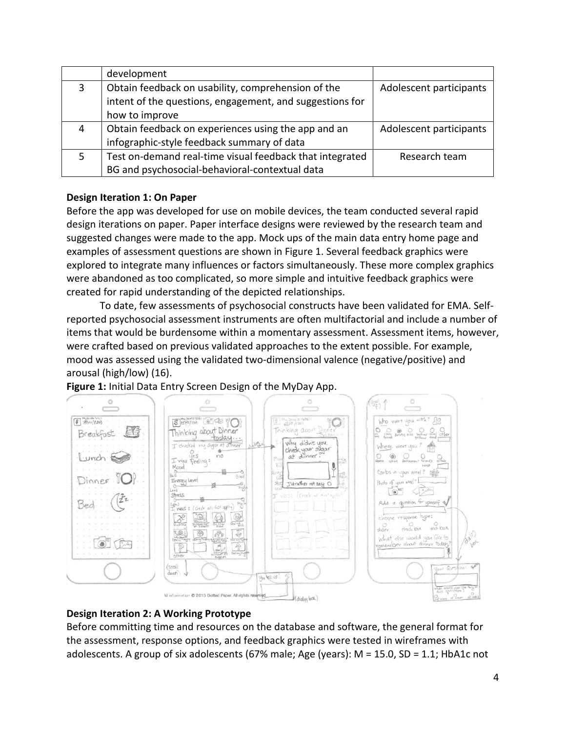|   | development                                              |                         |
|---|----------------------------------------------------------|-------------------------|
| 3 | Obtain feedback on usability, comprehension of the       | Adolescent participants |
|   | intent of the questions, engagement, and suggestions for |                         |
|   | how to improve                                           |                         |
| 4 | Obtain feedback on experiences using the app and an      | Adolescent participants |
|   | infographic-style feedback summary of data               |                         |
|   | Test on-demand real-time visual feedback that integrated | Research team           |
|   | BG and psychosocial-behavioral-contextual data           |                         |

### **Design Iteration 1: On Paper**

Before the app was developed for use on mobile devices, the team conducted several rapid design iterations on paper. Paper interface designs were reviewed by the research team and suggested changes were made to the app. Mock ups of the main data entry home page and examples of assessment questions are shown in Figure 1. Several feedback graphics were explored to integrate many influences or factors simultaneously. These more complex graphics were abandoned as too complicated, so more simple and intuitive feedback graphics were created for rapid understanding of the depicted relationships.

To date, few assessments of psychosocial constructs have been validated for EMA. Selfreported psychosocial assessment instruments are often multifactorial and include a number of items that would be burdensome within a momentary assessment. Assessment items, however, were crafted based on previous validated approaches to the extent possible. For example, mood was assessed using the validated two-dimensional valence (negative/positive) and arousal (high/low) (16).



**Figure 1:** Initial Data Entry Screen Design of the MyDay App.

### **Design Iteration 2: A Working Prototype**

Before committing time and resources on the database and software, the general format for the assessment, response options, and feedback graphics were tested in wireframes with adolescents. A group of six adolescents (67% male; Age (years): M = 15.0, SD = 1.1; HbA1c not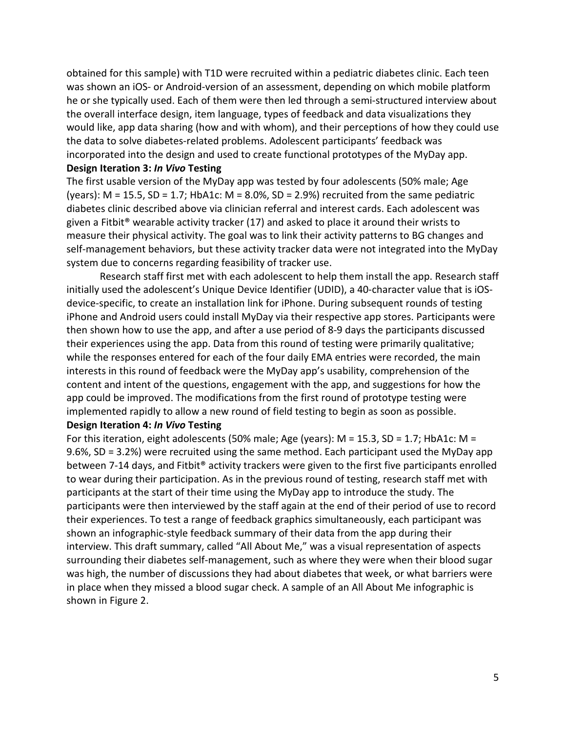obtained for this sample) with T1D were recruited within a pediatric diabetes clinic. Each teen was shown an iOS- or Android-version of an assessment, depending on which mobile platform he or she typically used. Each of them were then led through a semi-structured interview about the overall interface design, item language, types of feedback and data visualizations they would like, app data sharing (how and with whom), and their perceptions of how they could use the data to solve diabetes-related problems. Adolescent participants' feedback was incorporated into the design and used to create functional prototypes of the MyDay app.

#### **Design Iteration 3:** *In Vivo* **Testing**

The first usable version of the MyDay app was tested by four adolescents (50% male; Age (years):  $M = 15.5$ , SD = 1.7; HbA1c:  $M = 8.0\%$ , SD = 2.9%) recruited from the same pediatric diabetes clinic described above via clinician referral and interest cards. Each adolescent was given a Fitbit® wearable activity tracker (17) and asked to place it around their wrists to measure their physical activity. The goal was to link their activity patterns to BG changes and self-management behaviors, but these activity tracker data were not integrated into the MyDay system due to concerns regarding feasibility of tracker use.

Research staff first met with each adolescent to help them install the app. Research staff initially used the adolescent's Unique Device Identifier (UDID), a 40-character value that is iOSdevice-specific, to create an installation link for iPhone. During subsequent rounds of testing iPhone and Android users could install MyDay via their respective app stores. Participants were then shown how to use the app, and after a use period of 8-9 days the participants discussed their experiences using the app. Data from this round of testing were primarily qualitative; while the responses entered for each of the four daily EMA entries were recorded, the main interests in this round of feedback were the MyDay app's usability, comprehension of the content and intent of the questions, engagement with the app, and suggestions for how the app could be improved. The modifications from the first round of prototype testing were implemented rapidly to allow a new round of field testing to begin as soon as possible. **Design Iteration 4:** *In Vivo* **Testing**

For this iteration, eight adolescents (50% male; Age (years): M = 15.3, SD = 1.7; HbA1c: M = 9.6%, SD = 3.2%) were recruited using the same method. Each participant used the MyDay app between 7-14 days, and Fitbit<sup>®</sup> activity trackers were given to the first five participants enrolled to wear during their participation. As in the previous round of testing, research staff met with participants at the start of their time using the MyDay app to introduce the study. The participants were then interviewed by the staff again at the end of their period of use to record their experiences. To test a range of feedback graphics simultaneously, each participant was shown an infographic-style feedback summary of their data from the app during their interview. This draft summary, called "All About Me," was a visual representation of aspects surrounding their diabetes self-management, such as where they were when their blood sugar was high, the number of discussions they had about diabetes that week, or what barriers were in place when they missed a blood sugar check. A sample of an All About Me infographic is shown in Figure 2.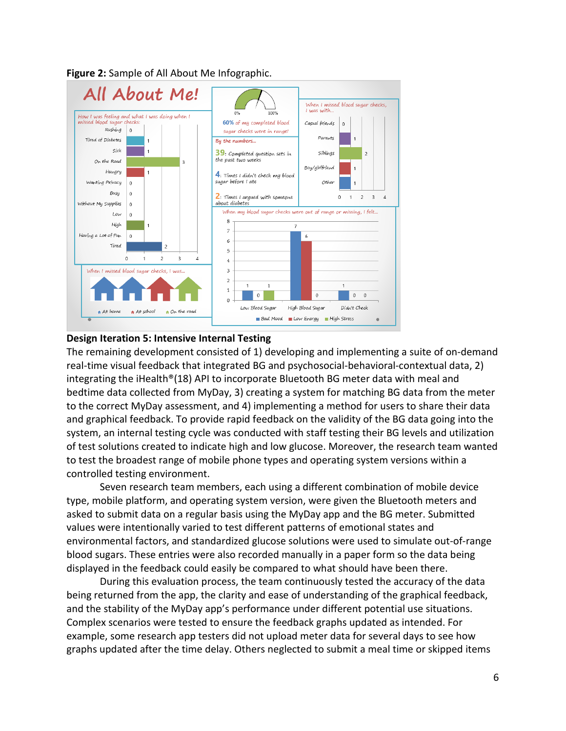

**Figure 2:** Sample of All About Me Infographic.

#### **Design Iteration 5: Intensive Internal Testing**

The remaining development consisted of 1) developing and implementing a suite of on-demand real-time visual feedback that integrated BG and psychosocial-behavioral-contextual data, 2) integrating the iHealth®(18) API to incorporate Bluetooth BG meter data with meal and bedtime data collected from MyDay, 3) creating a system for matching BG data from the meter to the correct MyDay assessment, and 4) implementing a method for users to share their data and graphical feedback. To provide rapid feedback on the validity of the BG data going into the system, an internal testing cycle was conducted with staff testing their BG levels and utilization of test solutions created to indicate high and low glucose. Moreover, the research team wanted to test the broadest range of mobile phone types and operating system versions within a controlled testing environment.

Seven research team members, each using a different combination of mobile device type, mobile platform, and operating system version, were given the Bluetooth meters and asked to submit data on a regular basis using the MyDay app and the BG meter. Submitted values were intentionally varied to test different patterns of emotional states and environmental factors, and standardized glucose solutions were used to simulate out-of-range blood sugars. These entries were also recorded manually in a paper form so the data being displayed in the feedback could easily be compared to what should have been there.

During this evaluation process, the team continuously tested the accuracy of the data being returned from the app, the clarity and ease of understanding of the graphical feedback, and the stability of the MyDay app's performance under different potential use situations. Complex scenarios were tested to ensure the feedback graphs updated as intended. For example, some research app testers did not upload meter data for several days to see how graphs updated after the time delay. Others neglected to submit a meal time or skipped items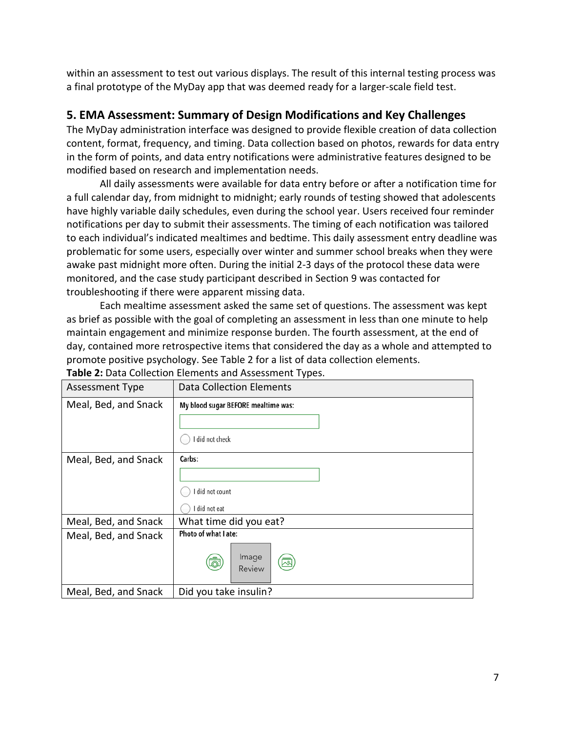within an assessment to test out various displays. The result of this internal testing process was a final prototype of the MyDay app that was deemed ready for a larger-scale field test.

### **5. EMA Assessment: Summary of Design Modifications and Key Challenges**

The MyDay administration interface was designed to provide flexible creation of data collection content, format, frequency, and timing. Data collection based on photos, rewards for data entry in the form of points, and data entry notifications were administrative features designed to be modified based on research and implementation needs.

All daily assessments were available for data entry before or after a notification time for a full calendar day, from midnight to midnight; early rounds of testing showed that adolescents have highly variable daily schedules, even during the school year. Users received four reminder notifications per day to submit their assessments. The timing of each notification was tailored to each individual's indicated mealtimes and bedtime. This daily assessment entry deadline was problematic for some users, especially over winter and summer school breaks when they were awake past midnight more often. During the initial 2-3 days of the protocol these data were monitored, and the case study participant described in Section 9 was contacted for troubleshooting if there were apparent missing data.

Each mealtime assessment asked the same set of questions. The assessment was kept as brief as possible with the goal of completing an assessment in less than one minute to help maintain engagement and minimize response burden. The fourth assessment, at the end of day, contained more retrospective items that considered the day as a whole and attempted to promote positive psychology. See Table 2 for a list of data collection elements.

| Assessment Type      | <b>Data Collection Elements</b>     |
|----------------------|-------------------------------------|
| Meal, Bed, and Snack | My blood sugar BEFORE mealtime was: |
|                      |                                     |
|                      | I did not check                     |
| Meal, Bed, and Snack | Carbs:                              |
|                      |                                     |
|                      | I did not count                     |
|                      | I did not eat                       |
| Meal, Bed, and Snack | What time did you eat?              |
| Meal, Bed, and Snack | Photo of what I ate:                |
|                      | Image<br>ā<br>⊠<br><b>Review</b>    |
| Meal, Bed, and Snack | Did you take insulin?               |

**Table 2:** Data Collection Elements and Assessment Types.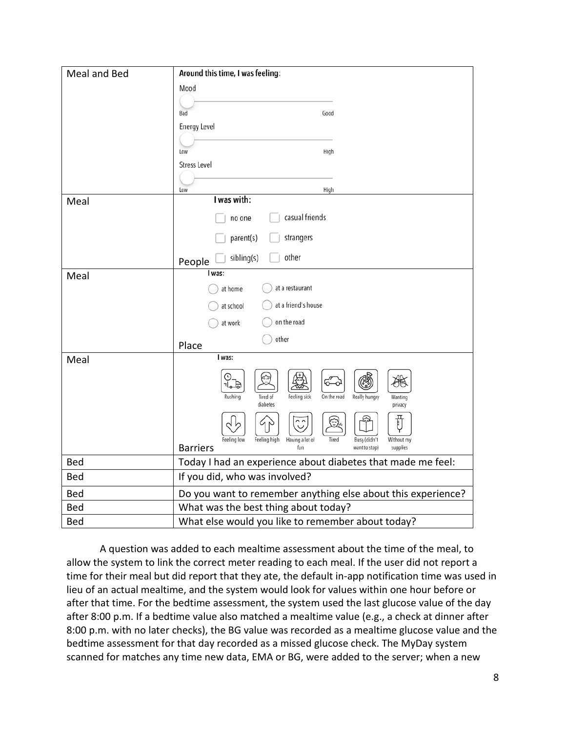| Meal and Bed | Around this time, I was feeling:                                                                                      |
|--------------|-----------------------------------------------------------------------------------------------------------------------|
|              | Mood                                                                                                                  |
|              | Good<br>Bad                                                                                                           |
|              | Energy Level                                                                                                          |
|              | High<br>Low                                                                                                           |
|              | <b>Stress Level</b>                                                                                                   |
|              |                                                                                                                       |
|              | Low<br>High<br>I was with:                                                                                            |
| Meal         |                                                                                                                       |
|              | casual friends<br>no one                                                                                              |
|              | parent(s)<br>strangers                                                                                                |
|              | other<br>sibling(s)<br>People                                                                                         |
| Meal         | I was:                                                                                                                |
|              | at a restaurant<br>at home                                                                                            |
|              | at a friend's house<br>at school                                                                                      |
|              | on the road<br>at work                                                                                                |
|              | other<br>Place                                                                                                        |
| Meal         | I was:                                                                                                                |
|              | O<br>ðĦ<br>6<br>Really hungry<br>Rushing<br>Tired of<br>Feeling sick<br>On the road<br>Wanting<br>diabetes<br>privacy |
|              | 苜<br>Feeling low<br>Busy (didn't<br>Feeling high<br>Having a lot of<br>Tired<br>Without my                            |
|              | fun<br>want to stop)<br>supplies<br><b>Barriers</b>                                                                   |
| Bed          | Today I had an experience about diabetes that made me feel:                                                           |
| <b>Bed</b>   | If you did, who was involved?                                                                                         |
| Bed          | Do you want to remember anything else about this experience?                                                          |
| <b>Bed</b>   | What was the best thing about today?                                                                                  |
| Bed          | What else would you like to remember about today?                                                                     |

A question was added to each mealtime assessment about the time of the meal, to allow the system to link the correct meter reading to each meal. If the user did not report a time for their meal but did report that they ate, the default in-app notification time was used in lieu of an actual mealtime, and the system would look for values within one hour before or after that time. For the bedtime assessment, the system used the last glucose value of the day after 8:00 p.m. If a bedtime value also matched a mealtime value (e.g., a check at dinner after 8:00 p.m. with no later checks), the BG value was recorded as a mealtime glucose value and the bedtime assessment for that day recorded as a missed glucose check. The MyDay system scanned for matches any time new data, EMA or BG, were added to the server; when a new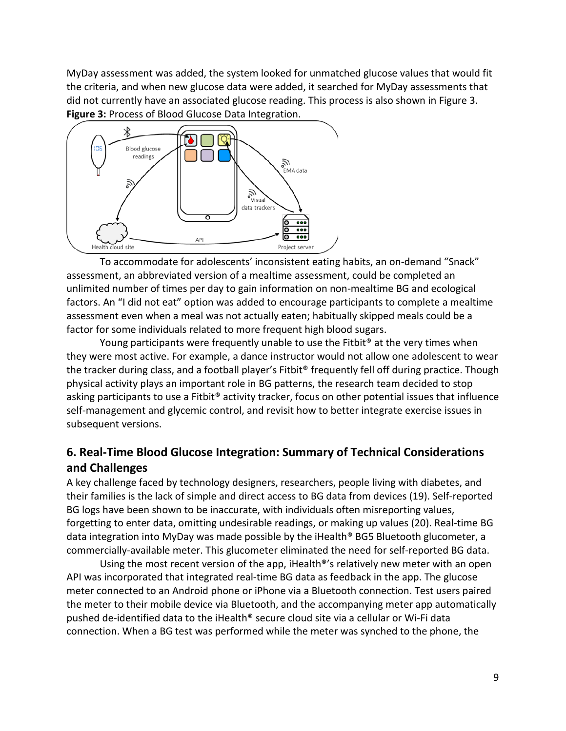MyDay assessment was added, the system looked for unmatched glucose values that would fit the criteria, and when new glucose data were added, it searched for MyDay assessments that did not currently have an associated glucose reading. This process is also shown in Figure 3. **Figure 3:** Process of Blood Glucose Data Integration.



To accommodate for adolescents' inconsistent eating habits, an on-demand "Snack" assessment, an abbreviated version of a mealtime assessment, could be completed an unlimited number of times per day to gain information on non-mealtime BG and ecological factors. An "I did not eat" option was added to encourage participants to complete a mealtime assessment even when a meal was not actually eaten; habitually skipped meals could be a factor for some individuals related to more frequent high blood sugars.

Young participants were frequently unable to use the Fitbit<sup>®</sup> at the very times when they were most active. For example, a dance instructor would not allow one adolescent to wear the tracker during class, and a football player's Fitbit® frequently fell off during practice. Though physical activity plays an important role in BG patterns, the research team decided to stop asking participants to use a Fitbit® activity tracker, focus on other potential issues that influence self-management and glycemic control, and revisit how to better integrate exercise issues in subsequent versions.

# **6. Real-Time Blood Glucose Integration: Summary of Technical Considerations and Challenges**

A key challenge faced by technology designers, researchers, people living with diabetes, and their families is the lack of simple and direct access to BG data from devices (19). Self-reported BG logs have been shown to be inaccurate, with individuals often misreporting values, forgetting to enter data, omitting undesirable readings, or making up values (20). Real-time BG data integration into MyDay was made possible by the iHealth® BG5 Bluetooth glucometer, a commercially-available meter. This glucometer eliminated the need for self-reported BG data.

Using the most recent version of the app, iHealth<sup>®'</sup>s relatively new meter with an open API was incorporated that integrated real-time BG data as feedback in the app. The glucose meter connected to an Android phone or iPhone via a Bluetooth connection. Test users paired the meter to their mobile device via Bluetooth, and the accompanying meter app automatically pushed de-identified data to the iHealth® secure cloud site via a cellular or Wi-Fi data connection. When a BG test was performed while the meter was synched to the phone, the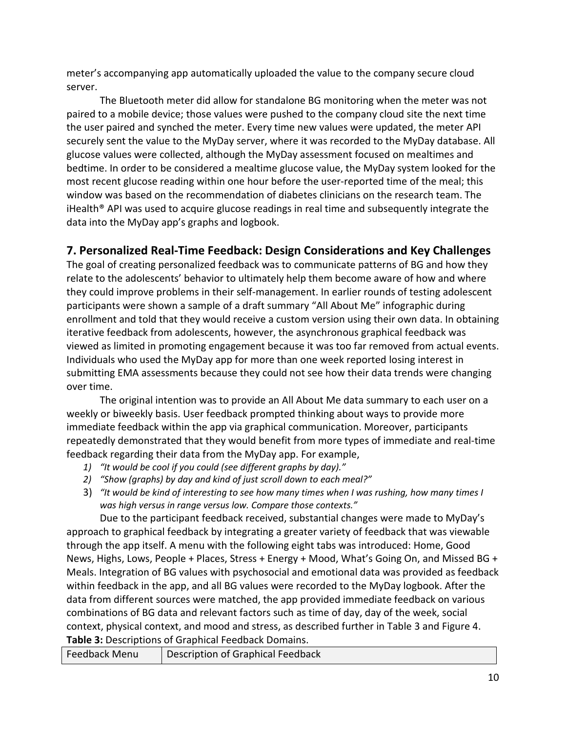meter's accompanying app automatically uploaded the value to the company secure cloud server.

The Bluetooth meter did allow for standalone BG monitoring when the meter was not paired to a mobile device; those values were pushed to the company cloud site the next time the user paired and synched the meter. Every time new values were updated, the meter API securely sent the value to the MyDay server, where it was recorded to the MyDay database. All glucose values were collected, although the MyDay assessment focused on mealtimes and bedtime. In order to be considered a mealtime glucose value, the MyDay system looked for the most recent glucose reading within one hour before the user-reported time of the meal; this window was based on the recommendation of diabetes clinicians on the research team. The iHealth® API was used to acquire glucose readings in real time and subsequently integrate the data into the MyDay app's graphs and logbook.

## **7. Personalized Real-Time Feedback: Design Considerations and Key Challenges**

The goal of creating personalized feedback was to communicate patterns of BG and how they relate to the adolescents' behavior to ultimately help them become aware of how and where they could improve problems in their self-management. In earlier rounds of testing adolescent participants were shown a sample of a draft summary "All About Me" infographic during enrollment and told that they would receive a custom version using their own data. In obtaining iterative feedback from adolescents, however, the asynchronous graphical feedback was viewed as limited in promoting engagement because it was too far removed from actual events. Individuals who used the MyDay app for more than one week reported losing interest in submitting EMA assessments because they could not see how their data trends were changing over time.

The original intention was to provide an All About Me data summary to each user on a weekly or biweekly basis. User feedback prompted thinking about ways to provide more immediate feedback within the app via graphical communication. Moreover, participants repeatedly demonstrated that they would benefit from more types of immediate and real-time feedback regarding their data from the MyDay app. For example,

- *1) "It would be cool if you could (see different graphs by day)."*
- *2) "Show (graphs) by day and kind of just scroll down to each meal?"*
- 3) *"It would be kind of interesting to see how many times when I was rushing, how many times I was high versus in range versus low. Compare those contexts."*

Due to the participant feedback received, substantial changes were made to MyDay's approach to graphical feedback by integrating a greater variety of feedback that was viewable through the app itself. A menu with the following eight tabs was introduced: Home, Good News, Highs, Lows, People + Places, Stress + Energy + Mood, What's Going On, and Missed BG + Meals. Integration of BG values with psychosocial and emotional data was provided as feedback within feedback in the app, and all BG values were recorded to the MyDay logbook. After the data from different sources were matched, the app provided immediate feedback on various combinations of BG data and relevant factors such as time of day, day of the week, social context, physical context, and mood and stress, as described further in Table 3 and Figure 4. **Table 3:** Descriptions of Graphical Feedback Domains.

| Feedback Menu | Description of Graphical Feedback |
|---------------|-----------------------------------|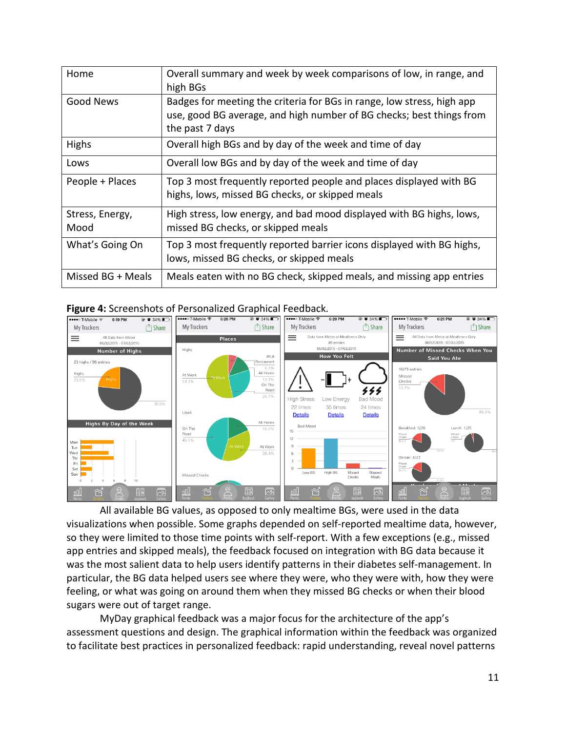| Home                    | Overall summary and week by week comparisons of low, in range, and<br>high BGs                                                                                    |
|-------------------------|-------------------------------------------------------------------------------------------------------------------------------------------------------------------|
| <b>Good News</b>        | Badges for meeting the criteria for BGs in range, low stress, high app<br>use, good BG average, and high number of BG checks; best things from<br>the past 7 days |
| <b>Highs</b>            | Overall high BGs and by day of the week and time of day                                                                                                           |
| Lows                    | Overall low BGs and by day of the week and time of day                                                                                                            |
| People + Places         | Top 3 most frequently reported people and places displayed with BG<br>highs, lows, missed BG checks, or skipped meals                                             |
| Stress, Energy,<br>Mood | High stress, low energy, and bad mood displayed with BG highs, lows,<br>missed BG checks, or skipped meals                                                        |
| What's Going On         | Top 3 most frequently reported barrier icons displayed with BG highs,<br>lows, missed BG checks, or skipped meals                                                 |
| Missed BG + Meals       | Meals eaten with no BG check, skipped meals, and missing app entries                                                                                              |





All available BG values, as opposed to only mealtime BGs, were used in the data visualizations when possible. Some graphs depended on self-reported mealtime data, however, so they were limited to those time points with self-report. With a few exceptions (e.g., missed app entries and skipped meals), the feedback focused on integration with BG data because it was the most salient data to help users identify patterns in their diabetes self-management. In particular, the BG data helped users see where they were, who they were with, how they were feeling, or what was going on around them when they missed BG checks or when their blood sugars were out of target range.

MyDay graphical feedback was a major focus for the architecture of the app's assessment questions and design. The graphical information within the feedback was organized to facilitate best practices in personalized feedback: rapid understanding, reveal novel patterns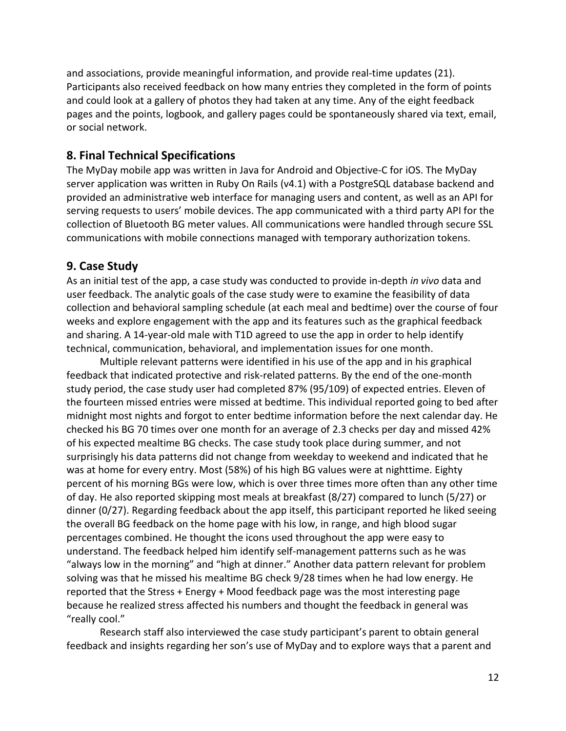and associations, provide meaningful information, and provide real-time updates (21). Participants also received feedback on how many entries they completed in the form of points and could look at a gallery of photos they had taken at any time. Any of the eight feedback pages and the points, logbook, and gallery pages could be spontaneously shared via text, email, or social network.

## **8. Final Technical Specifications**

The MyDay mobile app was written in Java for Android and Objective-C for iOS. The MyDay server application was written in Ruby On Rails (v4.1) with a PostgreSQL database backend and provided an administrative web interface for managing users and content, as well as an API for serving requests to users' mobile devices. The app communicated with a third party API for the collection of Bluetooth BG meter values. All communications were handled through secure SSL communications with mobile connections managed with temporary authorization tokens.

## **9. Case Study**

As an initial test of the app, a case study was conducted to provide in-depth *in vivo* data and user feedback. The analytic goals of the case study were to examine the feasibility of data collection and behavioral sampling schedule (at each meal and bedtime) over the course of four weeks and explore engagement with the app and its features such as the graphical feedback and sharing. A 14-year-old male with T1D agreed to use the app in order to help identify technical, communication, behavioral, and implementation issues for one month.

Multiple relevant patterns were identified in his use of the app and in his graphical feedback that indicated protective and risk-related patterns. By the end of the one-month study period, the case study user had completed 87% (95/109) of expected entries. Eleven of the fourteen missed entries were missed at bedtime. This individual reported going to bed after midnight most nights and forgot to enter bedtime information before the next calendar day. He checked his BG 70 times over one month for an average of 2.3 checks per day and missed 42% of his expected mealtime BG checks. The case study took place during summer, and not surprisingly his data patterns did not change from weekday to weekend and indicated that he was at home for every entry. Most (58%) of his high BG values were at nighttime. Eighty percent of his morning BGs were low, which is over three times more often than any other time of day. He also reported skipping most meals at breakfast (8/27) compared to lunch (5/27) or dinner (0/27). Regarding feedback about the app itself, this participant reported he liked seeing the overall BG feedback on the home page with his low, in range, and high blood sugar percentages combined. He thought the icons used throughout the app were easy to understand. The feedback helped him identify self-management patterns such as he was "always low in the morning" and "high at dinner." Another data pattern relevant for problem solving was that he missed his mealtime BG check 9/28 times when he had low energy. He reported that the Stress + Energy + Mood feedback page was the most interesting page because he realized stress affected his numbers and thought the feedback in general was "really cool."

Research staff also interviewed the case study participant's parent to obtain general feedback and insights regarding her son's use of MyDay and to explore ways that a parent and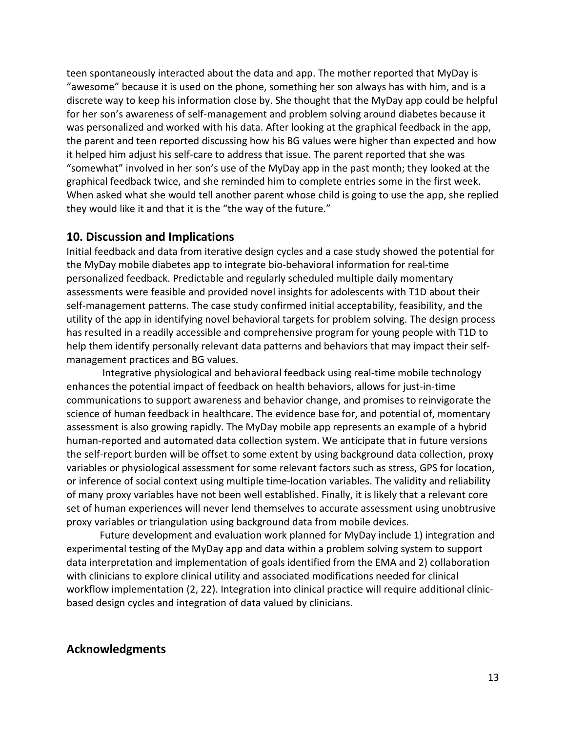teen spontaneously interacted about the data and app. The mother reported that MyDay is "awesome" because it is used on the phone, something her son always has with him, and is a discrete way to keep his information close by. She thought that the MyDay app could be helpful for her son's awareness of self-management and problem solving around diabetes because it was personalized and worked with his data. After looking at the graphical feedback in the app, the parent and teen reported discussing how his BG values were higher than expected and how it helped him adjust his self-care to address that issue. The parent reported that she was "somewhat" involved in her son's use of the MyDay app in the past month; they looked at the graphical feedback twice, and she reminded him to complete entries some in the first week. When asked what she would tell another parent whose child is going to use the app, she replied they would like it and that it is the "the way of the future."

### **10. Discussion and Implications**

Initial feedback and data from iterative design cycles and a case study showed the potential for the MyDay mobile diabetes app to integrate bio-behavioral information for real-time personalized feedback. Predictable and regularly scheduled multiple daily momentary assessments were feasible and provided novel insights for adolescents with T1D about their self-management patterns. The case study confirmed initial acceptability, feasibility, and the utility of the app in identifying novel behavioral targets for problem solving. The design process has resulted in a readily accessible and comprehensive program for young people with T1D to help them identify personally relevant data patterns and behaviors that may impact their selfmanagement practices and BG values.

Integrative physiological and behavioral feedback using real-time mobile technology enhances the potential impact of feedback on health behaviors, allows for just-in-time communications to support awareness and behavior change, and promises to reinvigorate the science of human feedback in healthcare. The evidence base for, and potential of, momentary assessment is also growing rapidly. The MyDay mobile app represents an example of a hybrid human-reported and automated data collection system. We anticipate that in future versions the self-report burden will be offset to some extent by using background data collection, proxy variables or physiological assessment for some relevant factors such as stress, GPS for location, or inference of social context using multiple time-location variables. The validity and reliability of many proxy variables have not been well established. Finally, it is likely that a relevant core set of human experiences will never lend themselves to accurate assessment using unobtrusive proxy variables or triangulation using background data from mobile devices.

Future development and evaluation work planned for MyDay include 1) integration and experimental testing of the MyDay app and data within a problem solving system to support data interpretation and implementation of goals identified from the EMA and 2) collaboration with clinicians to explore clinical utility and associated modifications needed for clinical workflow implementation (2, 22). Integration into clinical practice will require additional clinicbased design cycles and integration of data valued by clinicians.

### **Acknowledgments**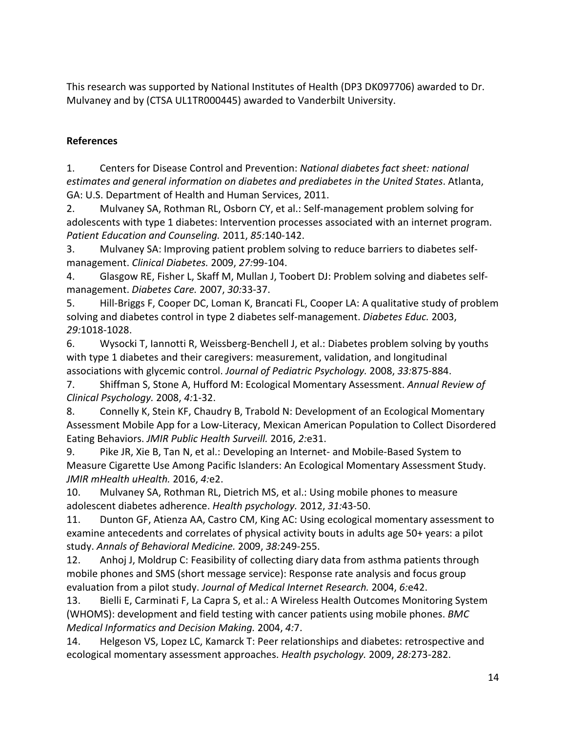This research was supported by National Institutes of Health (DP3 DK097706) awarded to Dr. Mulvaney and by (CTSA UL1TR000445) awarded to Vanderbilt University.

### **References**

1. Centers for Disease Control and Prevention: *National diabetes fact sheet: national estimates and general information on diabetes and prediabetes in the United States*. Atlanta, GA: U.S. Department of Health and Human Services, 2011.

2. Mulvaney SA, Rothman RL, Osborn CY, et al.: Self-management problem solving for adolescents with type 1 diabetes: Intervention processes associated with an internet program. *Patient Education and Counseling.* 2011, *85:*140-142.

3. Mulvaney SA: Improving patient problem solving to reduce barriers to diabetes selfmanagement. *Clinical Diabetes.* 2009, *27:*99-104.

4. Glasgow RE, Fisher L, Skaff M, Mullan J, Toobert DJ: Problem solving and diabetes selfmanagement. *Diabetes Care.* 2007, *30:*33-37.

5. Hill-Briggs F, Cooper DC, Loman K, Brancati FL, Cooper LA: A qualitative study of problem solving and diabetes control in type 2 diabetes self-management. *Diabetes Educ.* 2003, *29:*1018-1028.

6. Wysocki T, Iannotti R, Weissberg-Benchell J, et al.: Diabetes problem solving by youths with type 1 diabetes and their caregivers: measurement, validation, and longitudinal associations with glycemic control. *Journal of Pediatric Psychology.* 2008, *33:*875-884.

7. Shiffman S, Stone A, Hufford M: Ecological Momentary Assessment. *Annual Review of Clinical Psychology.* 2008, *4:*1-32.

8. Connelly K, Stein KF, Chaudry B, Trabold N: Development of an Ecological Momentary Assessment Mobile App for a Low-Literacy, Mexican American Population to Collect Disordered Eating Behaviors. *JMIR Public Health Surveill.* 2016, *2:*e31.

9. Pike JR, Xie B, Tan N, et al.: Developing an Internet- and Mobile-Based System to Measure Cigarette Use Among Pacific Islanders: An Ecological Momentary Assessment Study. *JMIR mHealth uHealth.* 2016, *4:*e2.

10. Mulvaney SA, Rothman RL, Dietrich MS, et al.: Using mobile phones to measure adolescent diabetes adherence. *Health psychology.* 2012, *31:*43-50.

11. Dunton GF, Atienza AA, Castro CM, King AC: Using ecological momentary assessment to examine antecedents and correlates of physical activity bouts in adults age 50+ years: a pilot study. *Annals of Behavioral Medicine.* 2009, *38:*249-255.

12. Anhoj J, Moldrup C: Feasibility of collecting diary data from asthma patients through mobile phones and SMS (short message service): Response rate analysis and focus group evaluation from a pilot study. *Journal of Medical Internet Research.* 2004, *6:*e42.

13. Bielli E, Carminati F, La Capra S, et al.: A Wireless Health Outcomes Monitoring System (WHOMS): development and field testing with cancer patients using mobile phones. *BMC Medical Informatics and Decision Making.* 2004, *4:*7.

14. Helgeson VS, Lopez LC, Kamarck T: Peer relationships and diabetes: retrospective and ecological momentary assessment approaches. *Health psychology.* 2009, *28:*273-282.